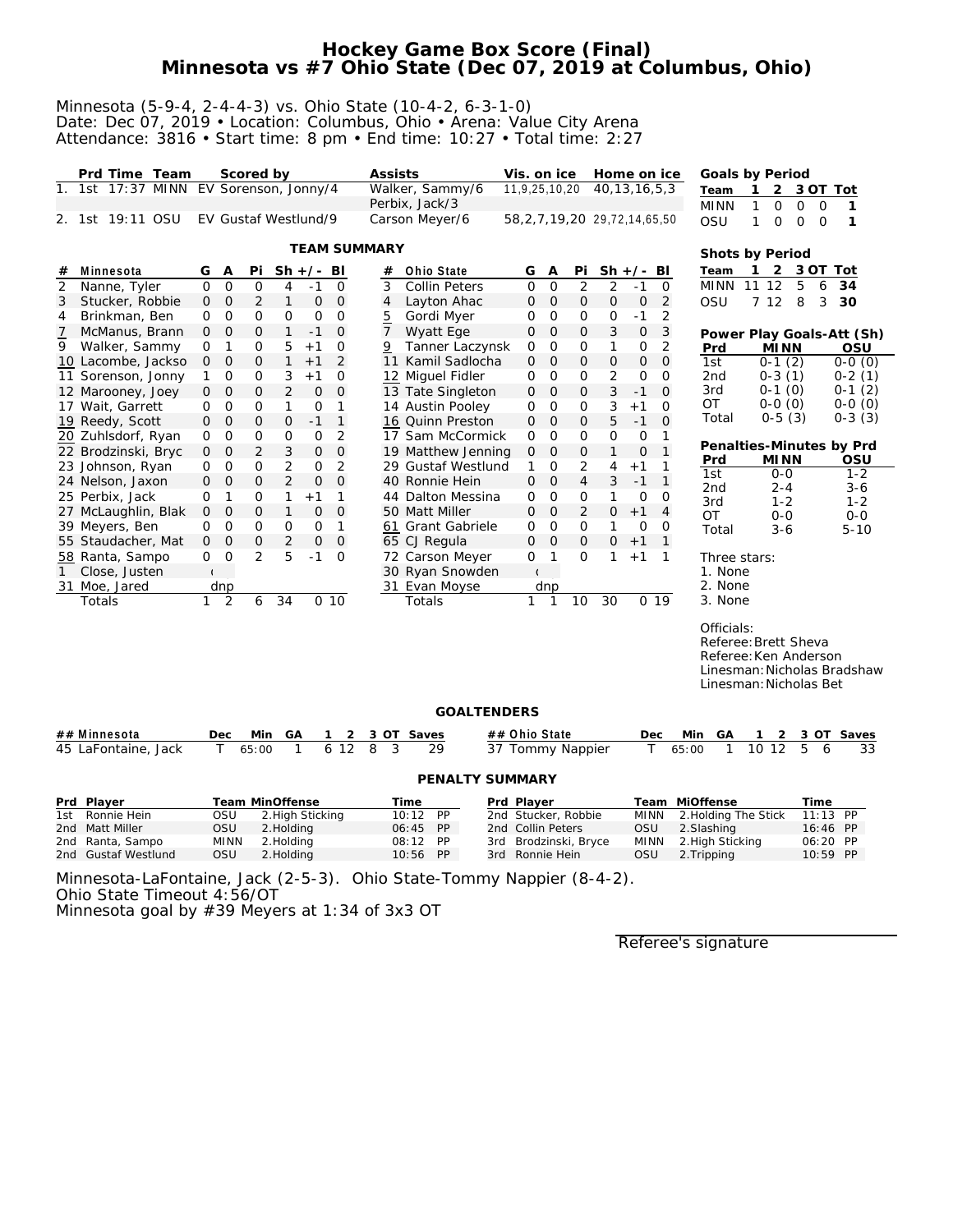# **Hockey Game Box Score (Final) Minnesota vs #7 Ohio State (Dec 07, 2019 at Columbus, Ohio)**

#### Minnesota (5-9-4, 2-4-4-3) vs. Ohio State (10-4-2, 6-3-1-0) Date: Dec 07, 2019 • Location: Columbus, Ohio • Arena: Value City Arena Attendance: 3816 • Start time: 8 pm • End time: 10:27 • Total time: 2:27

|                | Prd Time Team<br>1. 1st 17:37 MINN |                |                | Scored by      |                |                      |                | Assists             | Walker, Sammy/6      | Vis. on ice<br>11,9,25,10,20        |                |                | Home on ice<br>40, 13, 16, 5, 3 |               |              | Goals by Period                                                                       |              |                            |             |                             |
|----------------|------------------------------------|----------------|----------------|----------------|----------------|----------------------|----------------|---------------------|----------------------|-------------------------------------|----------------|----------------|---------------------------------|---------------|--------------|---------------------------------------------------------------------------------------|--------------|----------------------------|-------------|-----------------------------|
|                |                                    |                |                |                |                | EV Sorenson, Jonny/4 |                |                     | Perbix, Jack/3       |                                     |                |                |                                 |               |              | Team                                                                                  |              | 2                          | 3 OT Tot    |                             |
|                | 2. 1st 19:11 OSU                   |                |                |                |                | EV Gustaf Westlund/9 |                |                     | Carson Meyer/6       | 58, 2, 7, 19, 20 29, 72, 14, 65, 50 |                |                |                                 |               |              | <b>MINN</b>                                                                           | 1<br>1       | 0<br>0                     | $\mathbf 0$ | 1                           |
|                |                                    |                |                |                |                |                      |                |                     |                      |                                     |                |                |                                 |               |              | OSU                                                                                   |              | $\mathbf 0$<br>$\mathbf 0$ | $\circ$     | 1                           |
|                |                                    |                |                |                |                |                      |                | <b>TEAM SUMMARY</b> |                      |                                     |                |                |                                 |               |              | Shots by Period                                                                       |              |                            |             |                             |
| #              | Minnesota                          | G              | Α              | Pi             | $Sh +/-$       |                      | BI             | #                   | Ohio State           | G                                   | Α              | Pi             |                                 | $Sh +/- BI$   |              | Team                                                                                  | $\mathbf{1}$ | 2                          | 3 OT        | Tot                         |
| $\overline{2}$ | Nanne, Tyler                       | $\Omega$       | $\mathbf 0$    | 0              | 4              | $-1$                 | $\Omega$       | 3                   | <b>Collin Peters</b> | $\Omega$                            | $\mathbf 0$    | 2              | $\overline{2}$                  | $-1$          | $\Omega$     | <b>MINN</b>                                                                           | 11 12        | 5                          | 6           | 34                          |
| 3              | Stucker, Robbie                    | $\mathbf 0$    | $\mathbf 0$    | 2              | 1              | 0                    | 0              | 4                   | Layton Ahac          | 0                                   | $\mathbf 0$    | $\mathsf{O}$   | 0                               | $\mathcal{O}$ | 2            | OSU                                                                                   | 7 12         | 8                          | 3           | 30                          |
| 4              | Brinkman, Ben                      | 0              | O              | $\mathbf{O}$   | 0              | 0                    | $\mathbf 0$    | <u>5</u>            | Gordi Myer           | 0                                   | $\mathbf 0$    | 0              | $\mathbf 0$                     | $-1$          | 2            |                                                                                       |              |                            |             |                             |
| $\overline{1}$ | McManus, Brann                     | $\mathbf{O}$   | $\overline{O}$ | $\mathbf{O}$   | $\mathbf{1}$   | $-1$                 | $\overline{O}$ | $\overline{7}$      | Wyatt Ege            | 0                                   | $\overline{O}$ | $\overline{O}$ | 3                               | $\mathbf 0$   | 3            |                                                                                       |              |                            |             | Power Play Goals-Att (Sh)   |
| 9              | Walker, Sammy                      | 0              | 1              | 0              | 5              | $+1$                 | $\mathbf 0$    | 9                   | Tanner Laczynsk      | 0                                   | 0              | 0              | 1                               | 0             | 2            | Prd                                                                                   |              | <b>MINN</b>                |             | OSU                         |
|                | 10 Lacombe, Jackso                 | $\mathbf 0$    | 0              | 0              | $\mathbf{1}$   | $+1$                 | $\overline{2}$ | 11                  | Kamil Sadlocha       | 0                                   | $\circ$        | $\mathbf{O}$   | 0                               | 0             | $\mathbf 0$  | 1st                                                                                   |              | $0-1(2)$                   |             | $0-0(0)$                    |
|                | 11 Sorenson, Jonny                 | 1              | 0              | 0              | 3              | $+1$                 | 0              |                     | 12 Miguel Fidler     | 0                                   | $\circ$        | 0              | $\overline{2}$                  | 0             | $\Omega$     | 2 <sub>nd</sub>                                                                       |              | $0-3(1)$                   |             | $0-2(1)$                    |
|                | 12 Marooney, Joey                  | 0              | $\Omega$       | $\mathbf{O}$   | 2              | $\mathbf{O}$         | $\overline{0}$ |                     | 13 Tate Singleton    | $\mathbf{O}$                        | $\overline{O}$ | $\circ$        | 3                               | $-1$          | $\Omega$     | 3rd                                                                                   |              | $0-1(0)$                   |             | $0-1(2)$                    |
|                | 17 Wait, Garrett                   | 0              | O              | 0              | $\mathbf{1}$   | 0                    | 1              |                     | 14 Austin Pooley     | 0                                   | $\mathbf 0$    | 0              | 3                               | $+1$          | $\Omega$     | OT                                                                                    |              | $0-0(0)$                   |             | $0-0(0)$                    |
|                | 19 Reedy, Scott                    | $\mathbf{O}$   | $\Omega$       | 0              | $\mathbf 0$    | $-1$                 | $\mathbf{1}$   |                     | 16 Quinn Preston     | 0                                   | $\mathbf{O}$   | $\mathsf{O}$   | 5                               | $-1$          | $\Omega$     | Total                                                                                 |              | $0-5(3)$                   |             | $0-3(3)$                    |
|                | 20 Zuhlsdorf, Ryan                 | 0              | O              | 0              | 0              | 0                    | 2              |                     | 17 Sam McCormick     | 0                                   | $\Omega$       | 0              | $\overline{O}$                  | $\mathbf 0$   | 1            |                                                                                       |              |                            |             |                             |
|                | 22 Brodzinski, Bryc                | 0              | $\mathcal{O}$  | $\overline{2}$ | 3              | $\mathbf{O}$         | $\Omega$       |                     | 19 Matthew Jenning   | 0                                   | 0              | $\mathsf{O}$   | $\mathbf{1}$                    | $\mathbf 0$   | $\mathbf{1}$ | Penalties-Minutes by Prd                                                              |              |                            |             |                             |
|                | 23 Johnson, Ryan                   | 0              | O              | 0              | 2              | 0                    | $\overline{2}$ |                     | 29 Gustaf Westlund   | 1                                   | 0              | 2              | 4                               | $+1$          | 1            | Prd<br>1st                                                                            |              | <b>MINN</b><br>$0 - 0$     |             | OSU<br>$1 - 2$              |
|                | 24 Nelson, Jaxon                   | 0              | 0              | 0              | $\overline{2}$ | $\mathbf 0$          | $\mathcal{O}$  |                     | 40 Ronnie Hein       | 0                                   | $\mathbf 0$    | $\overline{4}$ | 3                               | $-1$          | 1            | 2nd                                                                                   |              | $2 - 4$                    |             | $3 - 6$                     |
|                | 25 Perbix, Jack                    | O              | 1              | 0              | 1              | $+1$                 | 1              |                     | 44 Dalton Messina    | 0                                   | $\circ$        | 0              | 1                               | $\mathbf 0$   | 0            | 3rd                                                                                   |              | $1 - 2$                    |             | $1 - 2$                     |
|                | 27 McLaughlin, Blak                | $\mathbf{O}$   | 0              | $\overline{O}$ | $\mathbf{1}$   | 0                    | $\overline{O}$ |                     | 50 Matt Miller       | $\mathbf{O}$                        | $\circ$        | $\overline{2}$ | 0                               | $+1$          | 4            | <b>OT</b>                                                                             |              | $0 - 0$                    |             | $0 - 0$                     |
|                | 39 Meyers, Ben                     | $\Omega$       | $\Omega$       | 0              | 0              | 0                    | 1              |                     | 61 Grant Gabriele    | 0                                   | $\circ$        | 0              | 1                               | 0             | 0            | Total                                                                                 |              | $3 - 6$                    |             | $5 - 10$                    |
|                | 55 Staudacher, Mat                 | $\mathbf 0$    | 0              | 0              | 2              | $\mathbf 0$          | $\mathbf{O}$   |                     | 65 CJ Regula         | 0                                   | $\mathbf 0$    | $\mathbf{O}$   | $\mathsf O$                     | $+1$          | $\mathbf{1}$ |                                                                                       |              |                            |             |                             |
|                | 58 Ranta, Sampo                    | 0              | 0              | $\overline{2}$ | 5              | $-1$                 | $\overline{0}$ |                     | 72 Carson Meyer      | 0                                   | 1              | 0              | 1                               | $+1$          | 1            | Three stars:                                                                          |              |                            |             |                             |
|                | Close, Justen                      | $\mathfrak{c}$ |                |                |                |                      |                |                     | 30 Ryan Snowden      |                                     |                |                |                                 |               |              | 1. None                                                                               |              |                            |             |                             |
|                | 31 Moe, Jared                      |                | dnp            |                |                |                      |                |                     | 31 Evan Moyse        |                                     | dnp            |                |                                 |               |              | 2. None                                                                               |              |                            |             |                             |
|                | Totals                             | 1.             | $\overline{2}$ | 6              | 34             | 0 <sub>10</sub>      |                |                     | Totals               | 1                                   | 1              | 10             | 30                              |               | 0.19         | 3. None                                                                               |              |                            |             |                             |
|                |                                    |                |                |                |                |                      |                |                     |                      |                                     |                |                |                                 |               |              | Officials:<br>Referee: Brett Sheva<br>Referee: Ken Anderson<br>Linesman: Nicholas Bet |              |                            |             | Linesman: Nicholas Bradshaw |

### **GOALTENDERS**

| ## Minnesota        | Dec.        | Min             | GA               |      |   |      | 3 OT Saves         |  | ## Ohio State         | <b>Dec</b>  | Min                  | GA |       |      |            | 3 OT Saves |
|---------------------|-------------|-----------------|------------------|------|---|------|--------------------|--|-----------------------|-------------|----------------------|----|-------|------|------------|------------|
| 45 LaFontaine, Jack |             | 65:00           |                  | 6 12 | 8 |      | 29                 |  | 37 Tommy Nappier      |             | 65:00                |    | 10 12 | 5.   | 6          | 33         |
|                     |             |                 |                  |      |   |      |                    |  |                       |             |                      |    |       |      |            |            |
|                     |             |                 |                  |      |   |      |                    |  | PENALTY SUMMARY       |             |                      |    |       |      |            |            |
|                     |             |                 |                  |      |   |      |                    |  |                       |             |                      |    |       |      |            |            |
| Prd Player          |             | Team MinOffense |                  |      |   | Time |                    |  | Prd Plaver            |             | Team MiOffense       |    |       | Time |            |            |
| 1st Ronnie Hein     | OSU         |                 | 2. High Sticking |      |   |      | 10:12 PP           |  | 2nd Stucker, Robbie   | <b>MINN</b> | 2. Holding The Stick |    |       |      | $11:13$ PP |            |
| 2nd Matt Miller     | OSU         |                 | 2. Holding       |      |   |      | 06:45 PP           |  | 2nd Collin Peters     | OSU         | 2. Slashing          |    |       |      | 16:46 PP   |            |
| 2nd Ranta, Sampo    | <b>MINN</b> |                 | 2. Holding       |      |   |      | <b>PP</b><br>08:12 |  | 3rd Brodzinski, Bryce | <b>MINN</b> | 2. High Sticking     |    |       |      | 06:20 PP   |            |

Minnesota-LaFontaine, Jack (2-5-3). Ohio State-Tommy Nappier (8-4-2). Ohio State Timeout 4:56/OT

Minnesota goal by #39 Meyers at 1:34 of 3x3 OT

Referee's signature